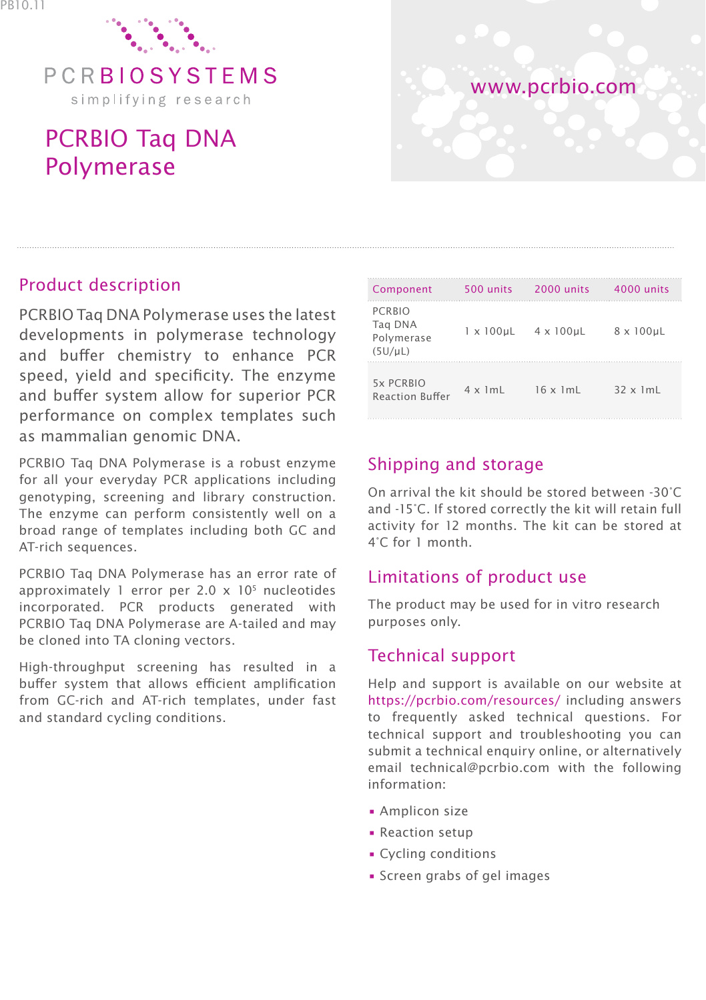

# PCRBIO Taq DNA Polymerase



### Product description

PCRBIO Taq DNA Polymerase uses the latest developments in polymerase technology and buffer chemistry to enhance PCR speed, yield and specificity. The enzyme and buffer system allow for superior PCR performance on complex templates such as mammalian genomic DNA.

PCRBIO Taq DNA Polymerase is a robust enzyme for all your everyday PCR applications including genotyping, screening and library construction. The enzyme can perform consistently well on a broad range of templates including both GC and AT-rich sequences.

PCRBIO Taq DNA Polymerase has an error rate of approximately 1 error per 2.0  $\times$  10<sup>5</sup> nucleotides incorporated. PCR products generated with PCRBIO Taq DNA Polymerase are A-tailed and may be cloned into TA cloning vectors.

High-throughput screening has resulted in a buffer system that allows efficient amplification from GC-rich and AT-rich templates, under fast and standard cycling conditions.

| Component                                              | 500 units            | 2000 units       | 4000 units        |
|--------------------------------------------------------|----------------------|------------------|-------------------|
| <b>PCRBIO</b><br>Tag DNA<br>Polymerase<br>$(5U/\mu L)$ | $1 \times 100 \mu L$ | 4 x 100µL        | $8 \times 100$ µL |
| 5x PCRBIO<br><b>Reaction Buffer</b>                    | $4 \times 1$ mL      | $16 \times 1m$ L | $32 \times 1$ mL  |

## Shipping and storage

On arrival the kit should be stored between -30°C and -15°C. If stored correctly the kit will retain full activity for 12 months. The kit can be stored at 4°C for 1 month.

#### Limitations of product use

The product may be used for in vitro research purposes only.

## Technical support

Help and support is available on our website at https://pcrbio.com/resources/ including answers to frequently asked technical questions. For technical support and troubleshooting you can submit a technical enquiry online, or alternatively email technical@pcrbio.com with the following information:

- Amplicon size
- Reaction setup
- Cycling conditions
- Screen grabs of gel images